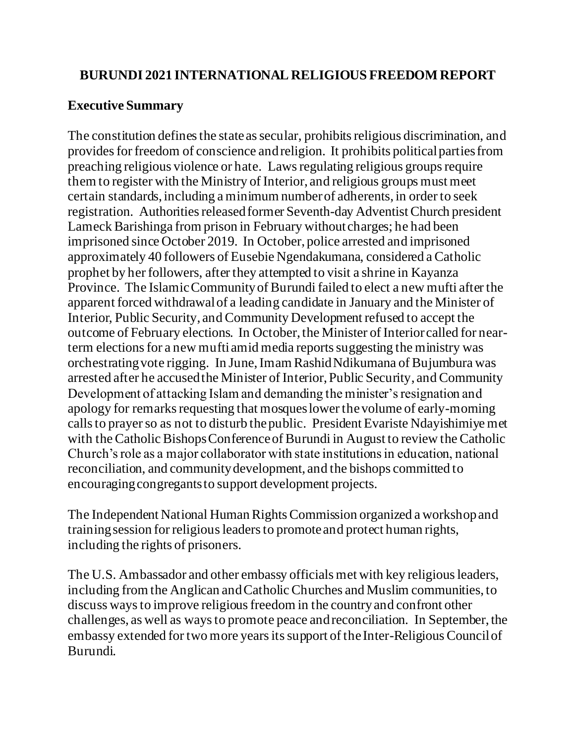### **BURUNDI 2021 INTERNATIONAL RELIGIOUS FREEDOM REPORT**

### **Executive Summary**

The constitution defines the state as secular, prohibits religious discrimination, and provides for freedom of conscience and religion. It prohibits political parties from preaching religious violence or hate. Laws regulating religious groups require them to register with the Ministry of Interior, and religious groups must meet certain standards, including a minimum number of adherents, in order to seek registration. Authorities released former Seventh-day Adventist Church president Lameck Barishinga from prison in February without charges; he had been imprisoned since October 2019. In October, police arrested and imprisoned approximately 40 followers of Eusebie Ngendakumana, considered a Catholic prophet by her followers, after they attempted to visit a shrine in Kayanza Province. The Islamic Community of Burundi failed to elect a new mufti after the apparent forced withdrawal of a leading candidate in January and the Minister of Interior, Public Security, and Community Development refused to accept the outcome of February elections. In October, the Minister of Interior called for nearterm elections for a new mufti amid media reports suggesting the ministry was orchestrating vote rigging. In June, Imam Rashid Ndikumana of Bujumbura was arrested after he accused the Minister of Interior, Public Security, and Community Development of attacking Islam and demanding the minister's resignation and apology for remarks requesting that mosques lower the volume of early-morning calls to prayer so as not to disturb the public. President Evariste Ndayishimiye met with the Catholic Bishops Conference of Burundi in August to review the Catholic Church's role as a major collaborator with state institutions in education, national reconciliation, and community development, and the bishops committed to encouraging congregants to support development projects.

The Independent National Human Rights Commission organized a workshop and training session for religious leaders to promote and protect human rights, including the rights of prisoners.

The U.S. Ambassador and other embassy officials met with key religious leaders, including from the Anglican and Catholic Churches and Muslim communities, to discuss ways to improve religious freedom in the countryand confront other challenges, as well as ways to promote peace and reconciliation. In September, the embassy extended for two more years its support of the Inter-Religious Council of Burundi.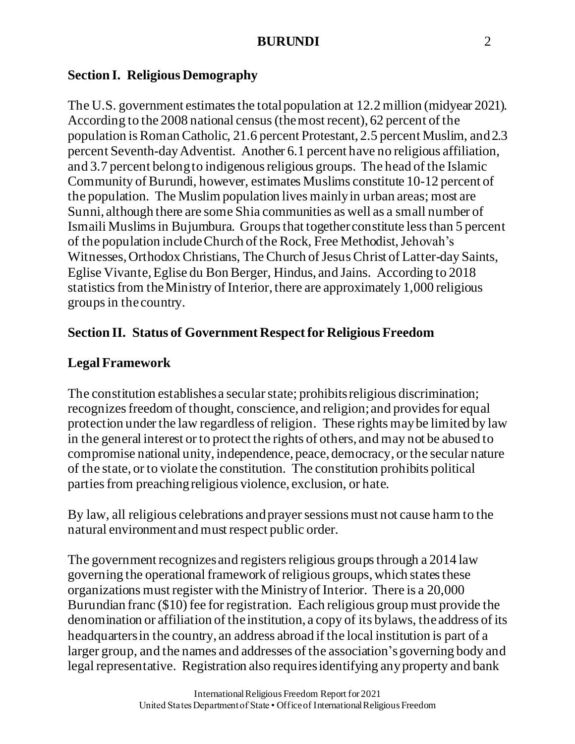# **Section I. Religious Demography**

The U.S. government estimates the total population at 12.2 million (midyear 2021). According to the 2008 national census(the most recent), 62 percent of the population is Roman Catholic, 21.6 percent Protestant, 2.5 percent Muslim, and 2.3 percent Seventh-day Adventist. Another 6.1 percent have no religious affiliation, and 3.7 percent belong to indigenous religious groups. The head of the Islamic Community of Burundi, however, estimates Muslims constitute 10-12 percent of the population. The Muslim population lives mainly in urban areas; most are Sunni, although there are some Shia communities as well as a small number of Ismaili Muslims in Bujumbura. Groups that together constitute less than 5 percent of the population include Church of the Rock, Free Methodist, Jehovah's Witnesses, Orthodox Christians, The Church of Jesus Christ of Latter-day Saints, Eglise Vivante, Eglise du Bon Berger, Hindus, and Jains. According to 2018 statistics from the Ministry of Interior, there are approximately 1,000 religious groups in the country.

# **Section II. Status of Government Respect for Religious Freedom**

# **Legal Framework**

The constitution establishes a secular state; prohibits religious discrimination; recognizes freedom of thought, conscience, and religion;and provides for equal protection under the law regardless of religion. These rights may be limited by law in the general interest or to protect the rights of others, and may not be abused to compromise national unity, independence, peace, democracy, or the secular nature of the state, or to violate the constitution. The constitution prohibits political parties from preaching religious violence, exclusion, or hate.

By law, all religious celebrations and prayer sessions must not cause harm to the natural environment and must respect public order.

The government recognizes and registers religious groups through a 2014 law governing the operational framework of religious groups,which states these organizations must register with the Ministry of Interior. There is a 20,000 Burundian franc (\$10) fee for registration. Each religious group must provide the denomination or affiliation of the institution, a copy of its bylaws, the address of its headquarters in the country, an address abroad if the local institution is part of a larger group, and the names and addresses of the association's governing body and legal representative. Registration also requiresidentifying any property and bank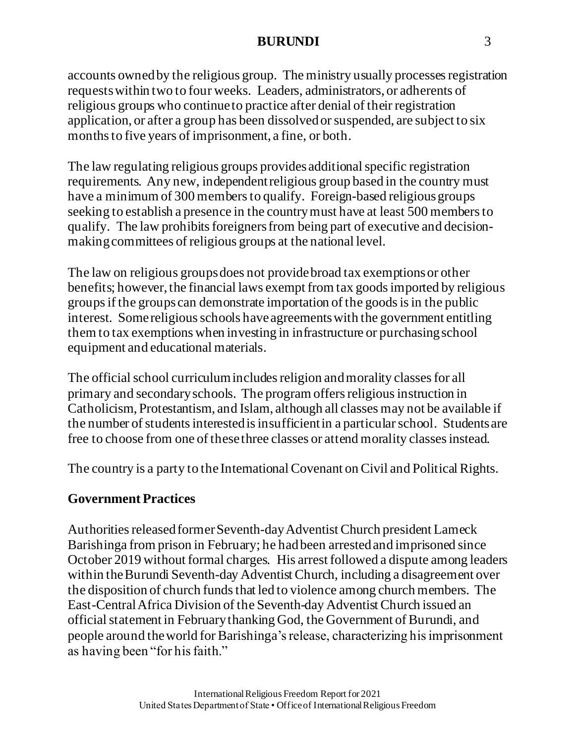accounts owned by the religious group. The ministry usually processes registration requests within two to four weeks. Leaders, administrators, or adherents of religious groups who continue to practice after denial of their registration application, or after a group has been dissolvedor suspended, are subject to six months to five years of imprisonment, a fine, or both.

The law regulating religious groups provides additional specific registration requirements. Any new, independentreligious group based in the country must have a minimum of 300 membersto qualify. Foreign-based religious groups seeking to establish a presence in the country must have at least 500 membersto qualify. The law prohibits foreigners from being part of executive and decisionmaking committees of religious groups at the national level.

The law on religious groups does not provide broad tax exemptions or other benefits; however, the financial laws exempt from tax goods imported by religious groupsif the groups can demonstrate importation of the goods is in the public interest. Some religious schools have agreements with the government entitling them to tax exemptions when investing in infrastructure or purchasing school equipment and educational materials.

The official school curriculum includes religion and morality classes for all primary and secondary schools. The program offers religious instruction in Catholicism, Protestantism, and Islam, although all classes may not be available if the number of students interested is insufficient in a particular school. Students are free to choose from one of these three classes or attend morality classes instead.

The country is a party to the International Covenant on Civil and Political Rights.

### **Government Practices**

Authorities released former Seventh-day Adventist Church president Lameck Barishinga from prison in February; he hadbeen arrested and imprisoned since October 2019 without formal charges. His arrest followed a dispute among leaders within the Burundi Seventh-day Adventist Church, including a disagreement over the disposition of church fundsthat led to violence among church members. The East-Central Africa Division of the Seventh-day Adventist Church issued an official statement in February thanking God, the Government of Burundi, and people around the world for Barishinga's release, characterizing his imprisonment as having been "for his faith."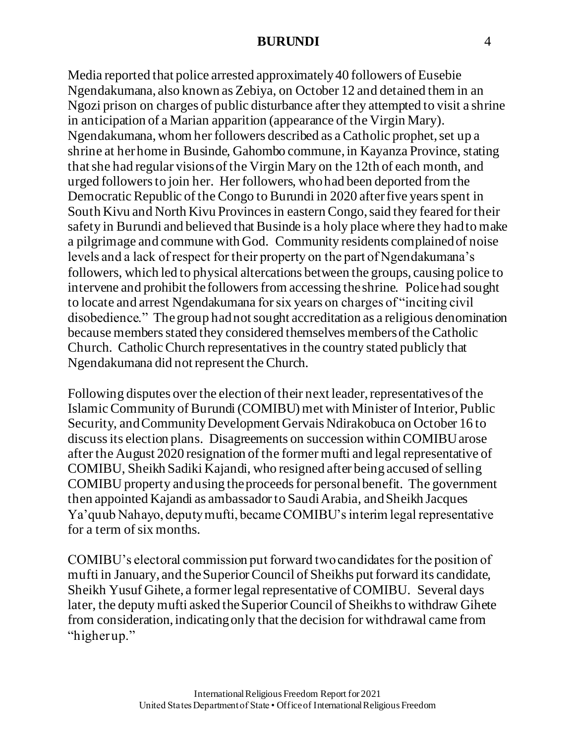Media reported that police arrested approximately 40 followers of Eusebie Ngendakumana, also known as Zebiya, on October 12 and detained them in an Ngozi prison on charges of public disturbance after they attempted to visit a shrine in anticipation of a Marian apparition (appearance of the Virgin Mary). Ngendakumana, whom her followers described as a Catholic prophet, set up a shrine at her home in Businde, Gahombo commune,in Kayanza Province, stating that she had regular visions of the Virgin Mary on the 12th of each month, and urged followers to join her. Her followers, who had been deported from the Democratic Republic of the Congo to Burundi in 2020 after five years spent in South Kivu and North Kivu Provinces in eastern Congo, said they feared for their safety in Burundi and believed that Businde is a holy place where they had to make a pilgrimage and commune with God. Community residents complained of noise levels and a lack of respect for their property on the part of Ngendakumana's followers, which led to physical altercations between the groups, causing police to intervene and prohibit the followers from accessing the shrine. Police had sought to locate and arrest Ngendakumana for six years on charges of "inciting civil disobedience." Thegroup hadnot sought accreditation as a religious denomination because members stated they considered themselves members of the Catholic Church. Catholic Church representatives in the country stated publicly that Ngendakumana did not represent the Church.

Following disputes over the election of their next leader, representatives of the Islamic Community of Burundi (COMIBU) met with Minister of Interior, Public Security, and Community Development Gervais Ndirakobuca on October 16 to discuss its election plans. Disagreements on succession within COMIBU arose after the August 2020 resignation of the former mufti and legal representative of COMIBU, Sheikh Sadiki Kajandi, who resigned after being accused of selling COMIBU property and using the proceeds for personal benefit. The government then appointed Kajandi as ambassador to Saudi Arabia, andSheikh Jacques Ya'quub Nahayo, deputy mufti, became COMIBU's interim legal representative for a term of six months.

COMIBU's electoral commission put forward two candidates for the position of mufti in January, and the Superior Council of Sheikhs put forward its candidate, Sheikh Yusuf Gihete, a former legal representative of COMIBU. Several days later, the deputy mufti asked the Superior Council of Sheikhs to withdraw Gihete from consideration, indicating only that the decision for withdrawal came from "higher up."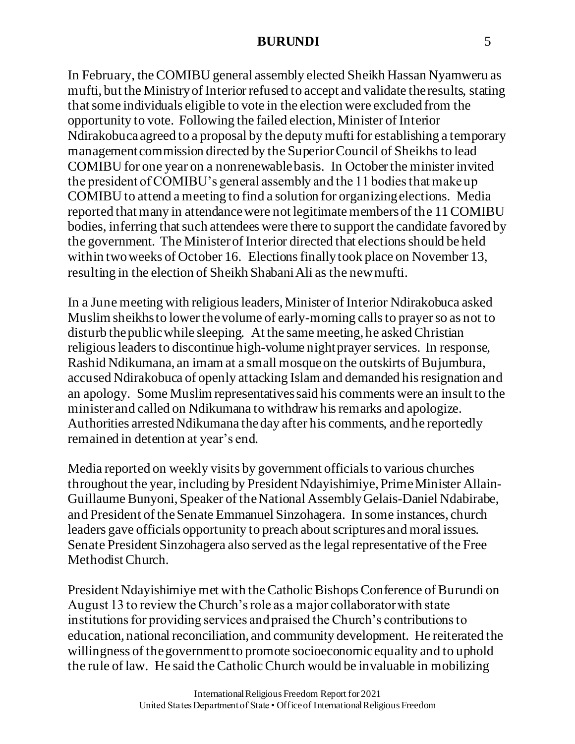In February, the COMIBU general assembly elected Sheikh Hassan Nyamweru as mufti, but the Ministry of Interior refused to accept and validate the results, stating that some individuals eligible to vote in the election were excluded from the opportunity to vote. Following the failed election, Minister of Interior Ndirakobuca agreed to a proposal by the deputy mufti for establishing a temporary management commission directed by the Superior Council of Sheikhs to lead COMIBU for one year on a nonrenewable basis. In October the minister invited the president of COMIBU's general assembly and the 11 bodies that make up COMIBU to attend a meeting to find a solution for organizing elections. Media reported that many in attendance were not legitimate members of the 11 COMIBU bodies, inferring that such attendees were there to support the candidate favored by the government. The Minister of Interior directed that elections should be held within two weeks of October 16. Elections finally took place on November 13, resulting in the election of Sheikh Shabani Ali as the new mufti.

In a June meeting with religious leaders, Minister of Interior Ndirakobuca asked Muslim sheikhs to lower the volume of early-morning calls to prayer so as not to disturb the public while sleeping. At the same meeting, he asked Christian religious leaders to discontinue high-volume night prayer services. In response, Rashid Ndikumana, an imam at a small mosque on the outskirts of Bujumbura, accused Ndirakobuca of openly attacking Islam and demanded his resignation and an apology. Some Muslim representatives said his comments were an insult to the minister and called on Ndikumana to withdraw his remarks and apologize. Authorities arrested Ndikumana the day after his comments, and he reportedly remained in detention at year's end.

Media reported on weekly visits by government officials to various churches throughout the year,including by President Ndayishimiye, Prime Minister Allain-Guillaume Bunyoni, Speaker of the National AssemblyGelais-Daniel Ndabirabe, and President of the Senate Emmanuel Sinzohagera. In some instances, church leaders gave officials opportunity to preach about scriptures and moral issues. Senate President Sinzohagera also served as the legal representative of the Free Methodist Church.

President Ndayishimiye met with the Catholic Bishops Conference of Burundi on August 13 to review the Church's role as a major collaborator with state institutions for providing services and praised the Church's contributions to education, national reconciliation, and community development. He reiterated the willingness of the government to promote socioeconomic equality and to uphold the rule of law. He said the Catholic Church would be invaluable in mobilizing